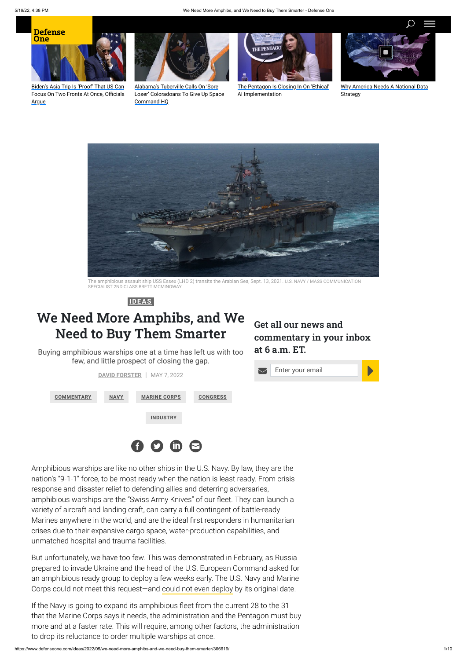

## **We Need More Amphibs, and We Need to Buy Them Smarter**

Buying amphibious warships one at a time has left us with too few, and little prospect of closing the gap.



Biden's Asia Trip Is 'Proof' That US Can [Focus On Two Fronts At Once, Officials](https://www.defenseone.com/policy/2022/05/bidens-asia-trip-proof-us-can-focus-two-fronts-once-officials-argue/367166/?oref=d1-skybox-post) Argue



Alabama's Tuberville Calls On 'Sore [Loser' Coloradoans To Give Up Space](https://www.defenseone.com/policy/2022/05/alabamas-tuberville-calls-sore-loser-coloradoans-give-space-command-hq/367128/?oref=d1-skybox-post) Command HQ



[The Pentagon Is Closing In On 'Ethical'](https://www.defenseone.com/policy/2022/05/pentagon-closing-ethical-ai-implementation/367120/?oref=d1-skybox-post) AI Implementation





The amphibious assault ship USS Essex (LHD 2) transits the Arabian Sea, Sept. 13, 2021. U.S. NAVY / MASS COMMUNICATION SPECIALIST 2ND CLASS BRETT MCMINOWAY



[Why America Needs A National Data](https://www.defenseone.com/sponsors/2022/04/why-america-needs-national-data-strategy/363392/?oref=d1-skybox) **Strategy** 

Amphibious warships are like no other ships in the U.S. Navy. By law, they are the nation's "9-1-1" force, to be most ready when the nation is least ready. From crisis response and disaster relief to defending allies and deterring adversaries, amphibious warships are the "Swiss Army Knives" of our fleet. They can launch a variety of aircraft and landing craft, can carry a full contingent of battle-ready Marines anywhere in the world, and are the ideal first responders in humanitarian crises due to their expansive cargo space, water-production capabilities, and unmatched hospital and trauma facilities.

But unfortunately, we have too few. This was demonstrated in February, as Russia prepared to invade Ukraine and the head of the U.S. European Command asked for an amphibious ready group to deploy a few weeks early. The U.S. Navy and Marine Corps could not meet this request—and [could not even deploy](https://www.defenseone.com/policy/2022/04/we-should-have-been-there-marine-general-laments-state-amphib-navy/366314/) by its original date.

If the Navy is going to expand its amphibious fleet from the current 28 to the 31 that the Marine Corps says it needs, the administration and the Pentagon must buy more and at a faster rate. This will require, among other factors, the administration to drop its reluctance to order multiple warships at once.

**Get all our news and commentary in your inbox at 6 a.m. ET.**